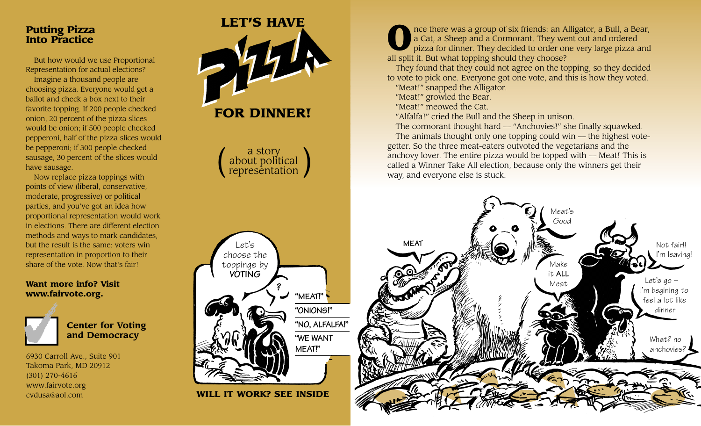## **Putting Pizza Into Practice**

But how would we use Proportional Representation for actual elections? Imagine a thousand people are choosing pizza. Everyone would get a ballot and check a box next to their favorite topping. If 200 people checked onion, 20 percent of the pizza slices would be onion; if 500 people checked pepperoni, half of the pizza slices would be pepperoni; if 300 people checked sausage, 30 percent of the slices would have sausage.

Now replace pizza toppings with points of view (liberal, conservative, moderate, progressive) or political parties, and you've got an idea how proportional representation would work in elections. There are different election methods and ways to mark candidates, but the result is the same: voters win representation in proportion to their share of the vote. Now that's fair!

## **Want more info? Visit www.fairvote.org.**



**Center for Voting and Democracy** 

6930 Carroll Ave., Suite 901 Takoma Park, MD 20912 (301) 270-4616 www.fairvote.org



**1** nce there was a group of six friends: an Alligator, a Bull, a Bear, a Cat, a Sheep and a Cormorant. They went out and ordered pizza for dinner. They decided to order one very large pizza and all split it. But what topp a Cat, a Sheep and a Cormorant. They went out and ordered pizza for dinner. They decided to order one very large pizza and all split it. But what topping should they choose?

They found that they could not agree on the topping, so they decided to vote to pick one. Everyone got one vote, and this is how they voted. "Meat!" snapped the Alligator.

"Meat!" growled the Bear.

"Meat!" meowed the Cat.

"Alfalfa!" cried the Bull and the Sheep in unison.

The cormorant thought hard — "Anchovies!" she finally squawked. The animals thought only one topping could win — the highest votegetter. So the three meat-eaters outvoted the vegetarians and the anchovy lover. The entire pizza would be topped with — Meat! This is called a Winner Take All election, because only the winners get their way, and everyone else is stuck.